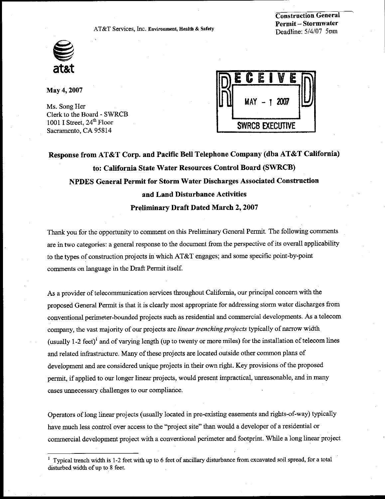AT&T Services, Inc. Environment, Health & Safety



**Construction General Permit-Stormwater** Deadline: 5/4/07 5pm

May 4, 2007

Ms. Song Her Clerk to the Board - SWRCB 1001 I Street, 24<sup>th</sup> Floor Sacramento, CA 95814

| Ē                      |     |  | ļ |      |  |  |
|------------------------|-----|--|---|------|--|--|
|                        | MAY |  |   | 2007 |  |  |
| <b>SWRCB EXECUTIVE</b> |     |  |   |      |  |  |

Response from AT&T Corp. and Pacific Bell Telephone Company (dba AT&T California) to: California State Water Resources Control Board (SWRCB) NPDES General Permit for Storm Water Discharges Associated Construction and Land Disturbance Activities **Preliminary Draft Dated March 2, 2007** 

Thank you for the opportunity to comment on this Preliminary General Permit. The following comments are in two categories: a general response to the document from the perspective of its overall applicability to the types of construction projects in which AT&T engages; and some specific point-by-point comments on language in the Draft Permit itself.

As a provider of telecommunication services throughout California, our principal concern with the proposed General Permit is that it is clearly most appropriate for addressing storm water discharges from conventional perimeter-bounded projects such as residential and commercial developments. As a telecom company, the vast majority of our projects are *linear trenching projects* typically of narrow width (usually 1-2 feet)<sup>1</sup> and of varying length (up to twenty or more miles) for the installation of telecom lines and related infrastructure. Many of these projects are located outside other common plans of development and are considered unique projects in their own right. Key provisions of the proposed permit, if applied to our longer linear projects, would present impractical, unreasonable, and in many cases unnecessary challenges to our compliance.

Operators of long linear projects (usually located in pre-existing easements and rights-of-way) typically have much less control over access to the "project site" than would a developer of a residential or commercial development project with a conventional perimeter and footprint. While a long linear project

<sup>&</sup>lt;sup>1</sup> Typical trench width is 1-2 feet with up to 6 feet of ancillary disturbance from excavated soil spread, for a total disturbed width of up to 8 feet.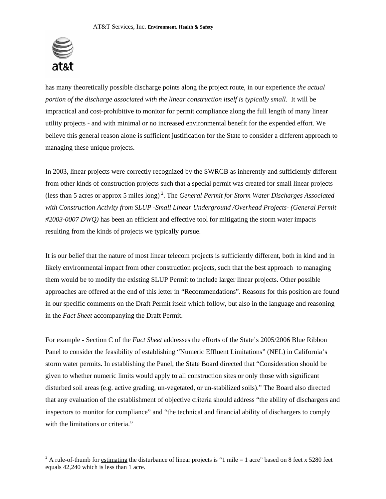

 $\overline{a}$ 

has many theoretically possible discharge points along the project route, in our experience *the actual portion of the discharge associated with the linear construction itself is typically small*. It will be impractical and cost-prohibitive to monitor for permit compliance along the full length of many linear utility projects - and with minimal or no increased environmental benefit for the expended effort. We believe this general reason alone is sufficient justification for the State to consider a different approach to managing these unique projects.

In 2003, linear projects were correctly recognized by the SWRCB as inherently and sufficiently different from other kinds of construction projects such that a special permit was created for small linear projects (less than 5 acres or approx 5 miles long) [2](#page-1-0) . The *General Permit for Storm Water Discharges Associated with Construction Activity from SLUP -Small Linear Underground /Overhead Projects- (General Permit #2003-0007 DWQ)* has been an efficient and effective tool for mitigating the storm water impacts resulting from the kinds of projects we typically pursue.

It is our belief that the nature of most linear telecom projects is sufficiently different, both in kind and in likely environmental impact from other construction projects, such that the best approach to managing them would be to modify the existing SLUP Permit to include larger linear projects. Other possible approaches are offered at the end of this letter in "Recommendations". Reasons for this position are found in our specific comments on the Draft Permit itself which follow, but also in the language and reasoning in the *Fact Sheet* accompanying the Draft Permit.

For example - Section C of the *Fact Sheet* addresses the efforts of the State's 2005/2006 Blue Ribbon Panel to consider the feasibility of establishing "Numeric Effluent Limitations" (NEL) in California's storm water permits. In establishing the Panel, the State Board directed that "Consideration should be given to whether numeric limits would apply to all construction sites or only those with significant disturbed soil areas (e.g. active grading, un-vegetated, or un-stabilized soils)." The Board also directed that any evaluation of the establishment of objective criteria should address "the ability of dischargers and inspectors to monitor for compliance" and "the technical and financial ability of dischargers to comply with the limitations or criteria."

<span id="page-1-0"></span><sup>&</sup>lt;sup>2</sup> A rule-of-thumb for estimating the disturbance of linear projects is "1 mile = 1 acre" based on 8 feet x 5280 feet equals 42,240 which is less than 1 acre.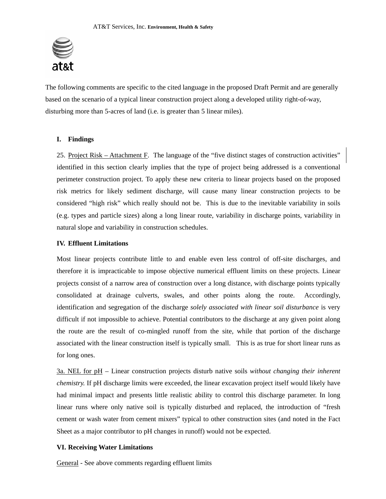

The following comments are specific to the cited language in the proposed Draft Permit and are generally based on the scenario of a typical linear construction project along a developed utility right-of-way, disturbing more than 5-acres of land (i.e. is greater than 5 linear miles).

## **I. Findings**

25. Project Risk – Attachment F. The language of the "five distinct stages of construction activities" identified in this section clearly implies that the type of project being addressed is a conventional perimeter construction project. To apply these new criteria to linear projects based on the proposed risk metrics for likely sediment discharge, will cause many linear construction projects to be considered "high risk" which really should not be. This is due to the inevitable variability in soils (e.g. types and particle sizes) along a long linear route, variability in discharge points, variability in natural slope and variability in construction schedules.

# **IV. Effluent Limitations**

Most linear projects contribute little to and enable even less control of off-site discharges, and therefore it is impracticable to impose objective numerical effluent limits on these projects. Linear projects consist of a narrow area of construction over a long distance, with discharge points typically consolidated at drainage culverts, swales, and other points along the route. Accordingly, identification and segregation of the discharge *solely associated with linear soil disturbance* is very difficult if not impossible to achieve. Potential contributors to the discharge at any given point along the route are the result of co-mingled runoff from the site, while that portion of the discharge associated with the linear construction itself is typically small. This is as true for short linear runs as for long ones.

3a. NEL for pH – Linear construction projects disturb native soils *without changing their inherent chemistry.* If pH discharge limits were exceeded, the linear excavation project itself would likely have had minimal impact and presents little realistic ability to control this discharge parameter. In long linear runs where only native soil is typically disturbed and replaced, the introduction of "fresh cement or wash water from cement mixers" typical to other construction sites (and noted in the Fact Sheet as a major contributor to pH changes in runoff) would not be expected.

# **VI. Receiving Water Limitations**

General - See above comments regarding effluent limits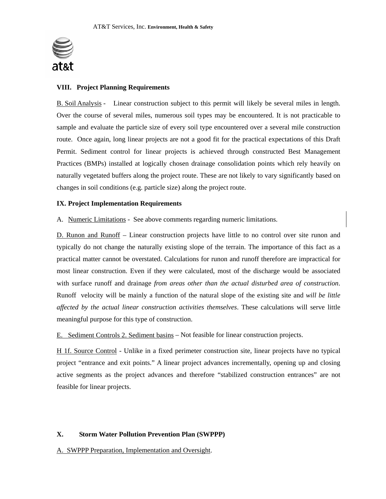

# **VIII. Project Planning Requirements**

B. Soil Analysis - Linear construction subject to this permit will likely be several miles in length. Over the course of several miles, numerous soil types may be encountered. It is not practicable to sample and evaluate the particle size of every soil type encountered over a several mile construction route. Once again, long linear projects are not a good fit for the practical expectations of this Draft Permit. Sediment control for linear projects is achieved through constructed Best Management Practices (BMPs) installed at logically chosen drainage consolidation points which rely heavily on naturally vegetated buffers along the project route. These are not likely to vary significantly based on changes in soil conditions (e.g. particle size) along the project route.

## **IX. Project Implementation Requirements**

A. Numeric Limitations - See above comments regarding numeric limitations.

D. Runon and Runoff – Linear construction projects have little to no control over site runon and typically do not change the naturally existing slope of the terrain. The importance of this fact as a practical matter cannot be overstated. Calculations for runon and runoff therefore are impractical for most linear construction. Even if they were calculated, most of the discharge would be associated with surface runoff and drainage *from areas other than the actual disturbed area of construction*. Runoff velocity will be mainly a function of the natural slope of the existing site and *will be little affected by the actual linear construction activities themselves*. These calculations will serve little meaningful purpose for this type of construction.

E. Sediment Controls 2. Sediment basins – Not feasible for linear construction projects.

 H 1f. Source Control - Unlike in a fixed perimeter construction site, linear projects have no typical project "entrance and exit points." A linear project advances incrementally, opening up and closing active segments as the project advances and therefore "stabilized construction entrances" are not feasible for linear projects.

## **X. Storm Water Pollution Prevention Plan (SWPPP)**

A. SWPPP Preparation, Implementation and Oversight.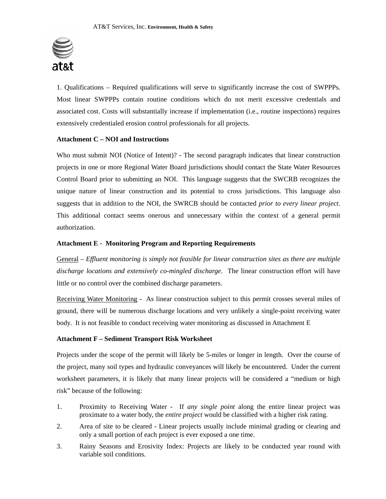

1. Qualifications – Required qualifications will serve to significantly increase the cost of SWPPPs. Most linear SWPPPs contain routine conditions which do not merit excessive credentials and associated cost. Costs will substantially increase if implementation (i.e., routine inspections) requires extensively credentialed erosion control professionals for all projects.

## **Attachment C – NOI and Instructions**

Who must submit NOI (Notice of Intent)? - The second paragraph indicates that linear construction projects in one or more Regional Water Board jurisdictions should contact the State Water Resources Control Board prior to submitting an NOI. This language suggests that the SWCRB recognizes the unique nature of linear construction and its potential to cross jurisdictions. This language also suggests that in addition to the NOI, the SWRCB should be contacted *prior to every linear project*. This additional contact seems onerous and unnecessary within the context of a general permit authorization.

#### **Attachment E - Monitoring Program and Reporting Requirements**

General – *Effluent monitoring is simply not feasible for linear construction sites as there are multiple discharge locations and extensively co-mingled discharge*. The linear construction effort will have little or no control over the combined discharge parameters.

Receiving Water Monitoring - As linear construction subject to this permit crosses several miles of ground, there will be numerous discharge locations and very unlikely a single-point receiving water body. It is not feasible to conduct receiving water monitoring as discussed in Attachment E

## **Attachment F – Sediment Transport Risk Worksheet**

Projects under the scope of the permit will likely be 5-miles or longer in length. Over the course of the project, many soil types and hydraulic conveyances will likely be encountered. Under the current worksheet parameters, it is likely that many linear projects will be considered a "medium or high risk" because of the following:

- 1. Proximity to Receiving Water If *any single point* along the entire linear project was proximate to a water body, the *entire project* would be classified with a higher risk rating.
- 2. Area of site to be cleared Linear projects usually include minimal grading or clearing and only a small portion of each project is ever exposed a one time.
- 3. Rainy Seasons and Erosivity Index: Projects are likely to be conducted year round with variable soil conditions.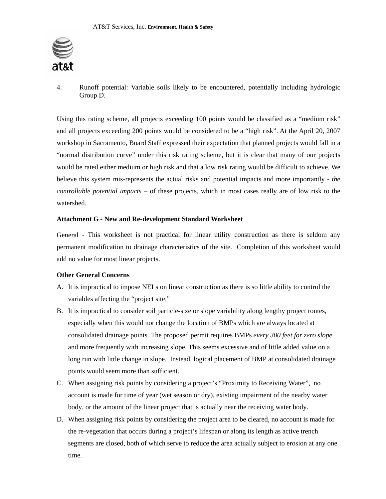

4. Runoff potential: Variable soils likely to be encountered, potentially including hydrologic Group D.

Using this rating scheme, all projects exceeding 100 points would be classified as a "medium risk" and all projects exceeding 200 points would be considered to be a "high risk". At the April 20, 2007 workshop in Sacramento, Board Staff expressed their expectation that planned projects would fall in a "normal distribution curve" under this risk rating scheme, but it is clear that many of our projects would be rated either medium or high risk and that a low risk rating would be difficult to achieve. We believe this system mis-represents the actual risks and potential impacts and more importantly - *the controllable potential impacts* – of these projects, which in most cases really are of low risk to the watershed.

# **Attachment G - New and Re-development Standard Worksheet**

General - This worksheet is not practical for linear utility construction as there is seldom any permanent modification to drainage characteristics of the site. Completion of this worksheet would add no value for most linear projects.

## **Other General Concerns**

- A. It is impractical to impose NELs on linear construction as there is so little ability to control the variables affecting the "project site."
- B. It is impractical to consider soil particle-size or slope variability along lengthy project routes, especially when this would not change the location of BMPs which are always located at consolidated drainage points. The proposed permit requires BMPs *every 300 feet for zero slope* and more frequently with increasing slope. This seems excessive and of little added value on a long run with little change in slope. Instead, logical placement of BMP at consolidated drainage points would seem more than sufficient.
- C. When assigning risk points by considering a project's "Proximity to Receiving Water", no account is made for time of year (wet season or dry), existing impairment of the nearby water body, or the amount of the linear project that is actually near the receiving water body.
- D. When assigning risk points by considering the project area to be cleared, no account is made for the re-vegetation that occurs during a project's lifespan or along its length as active trench segments are closed, both of which serve to reduce the area actually subject to erosion at any one time.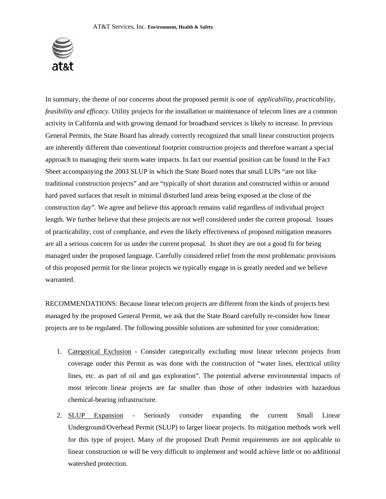

In summary, the theme of our concerns about the proposed permit is one of *applicability, practicability, feasibility and efficacy*. Utility projects for the installation or maintenance of telecom lines are a common activity in California and with growing demand for broadband services is likely to increase. In previous General Permits, the State Board has already correctly recognized that small linear construction projects are inherently different than conventional footprint construction projects and therefore warrant a special approach to managing their storm water impacts. In fact our essential position can be found in the Fact Sheet accompanying the 2003 SLUP in which the State Board notes that small LUPs "are not like traditional construction projects" and are "typically of short duration and constructed within or around hard paved surfaces that result in minimal disturbed land areas being exposed at the close of the construction day". We agree and believe this approach remains valid regardless of individual project length. We further believe that these projects are not well considered under the current proposal. Issues of practicability, cost of compliance, and even the likely effectiveness of proposed mitigation measures are all a serious concern for us under the current proposal. In short they are not a good fit for being managed under the proposed language. Carefully considered relief from the most problematic provisions of this proposed permit for the linear projects we typically engage in is greatly needed and we believe warranted.

RECOMMENDATIONS: Because linear telecom projects are different from the kinds of projects best managed by the proposed General Permit, we ask that the State Board carefully re-consider how linear projects are to be regulated. The following possible solutions are submitted for your consideration:

- 1. Categorical Exclusion Consider categorically excluding most linear telecom projects from coverage under this Permit as was done with the construction of "water lines, electrical utility lines, etc. as part of oil and gas exploration". The potential adverse environmental impacts of most telecom linear projects are far smaller than those of other industries with hazardous chemical-bearing infrastructure.
- 2. SLUP Expansion Seriously consider expanding the current Small Linear Underground/Overhead Permit (SLUP) to larger linear projects. Its mitigation methods work well for this type of project. Many of the proposed Draft Permit requirements are not applicable to linear construction or will be very difficult to implement and would achieve little or no additional watershed protection.